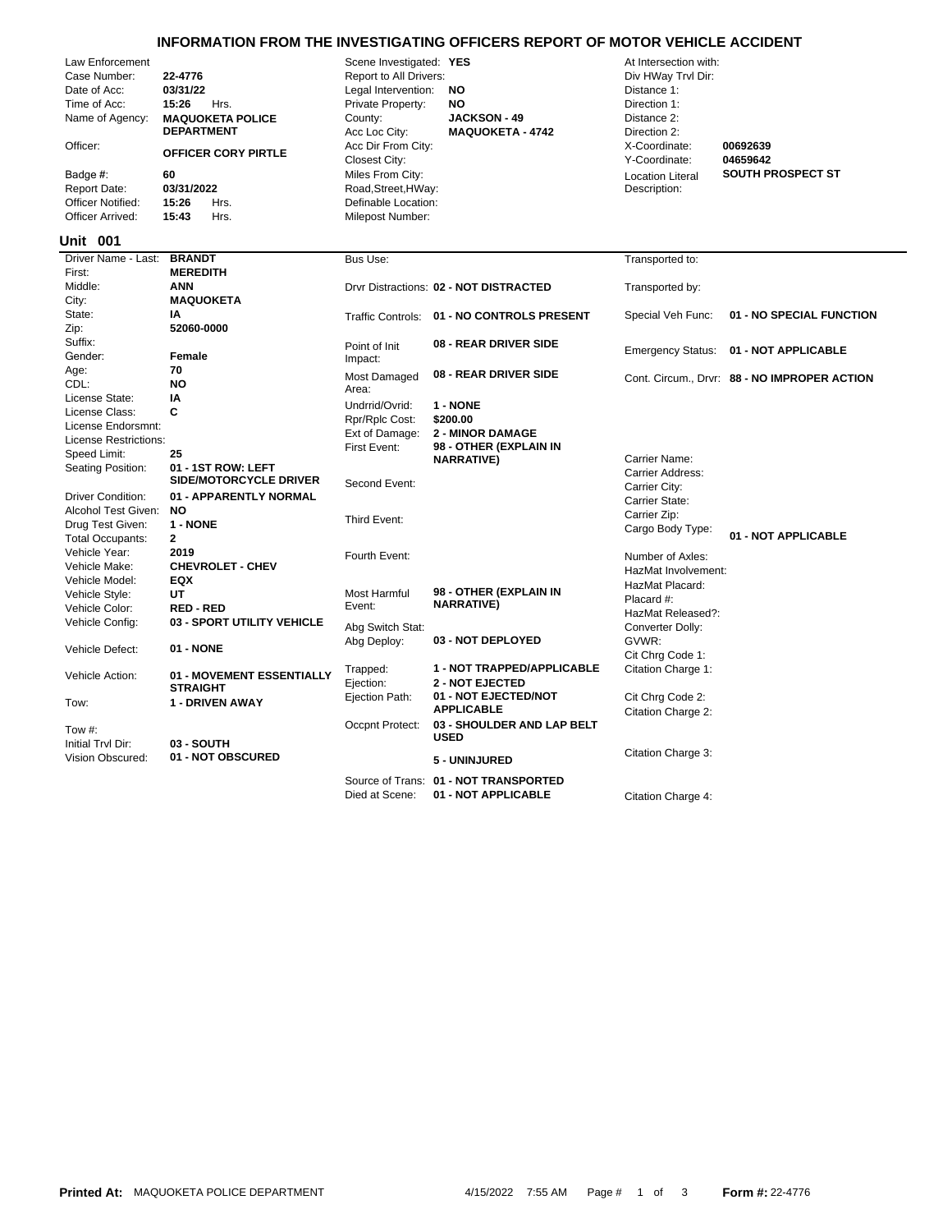## **INFORMATION FROM THE INVESTIGATING OFFICERS REPORT OF MOTOR VEHICLE ACCIDENT**

| Law Enforcement<br>Case Number:<br>Date of Acc:<br>Time of Acc:<br>Name of Agency:<br>Officer:<br>Badge #:<br><b>Report Date:</b><br>Officer Notified:<br>Officer Arrived:<br>Unit 001 | 22-4776<br>03/31/22<br>15:26<br>Hrs.<br><b>MAQUOKETA POLICE</b><br><b>DEPARTMENT</b><br><b>OFFICER CORY PIRTLE</b><br>60<br>03/31/2022<br>15:26<br>Hrs.<br>15:43<br>Hrs. | Scene Investigated: YES<br>Report to All Drivers:<br>Legal Intervention:<br>Private Property:<br>County:<br>Acc Loc City:<br>Acc Dir From City:<br>Closest City:<br>Miles From City:<br>Road, Street, HWay:<br>Definable Location:<br>Milepost Number: | NO<br><b>NO</b><br><b>JACKSON - 49</b><br><b>MAQUOKETA - 4742</b> | At Intersection with:<br>Div HWay Trvl Dir:<br>Distance 1:<br>Direction 1:<br>Distance 2:<br>Direction 2:<br>X-Coordinate:<br>Y-Coordinate:<br><b>Location Literal</b><br>Description: | 00692639<br>04659642<br><b>SOUTH PROSPECT ST</b> |
|----------------------------------------------------------------------------------------------------------------------------------------------------------------------------------------|--------------------------------------------------------------------------------------------------------------------------------------------------------------------------|--------------------------------------------------------------------------------------------------------------------------------------------------------------------------------------------------------------------------------------------------------|-------------------------------------------------------------------|----------------------------------------------------------------------------------------------------------------------------------------------------------------------------------------|--------------------------------------------------|
| Driver Name - Last:                                                                                                                                                                    | <b>BRANDT</b>                                                                                                                                                            | Bus Use:                                                                                                                                                                                                                                               |                                                                   | Transported to:                                                                                                                                                                        |                                                  |
| First:                                                                                                                                                                                 | <b>MEREDITH</b>                                                                                                                                                          |                                                                                                                                                                                                                                                        |                                                                   |                                                                                                                                                                                        |                                                  |
| Middle:                                                                                                                                                                                | <b>ANN</b>                                                                                                                                                               |                                                                                                                                                                                                                                                        | Drvr Distractions: 02 - NOT DISTRACTED                            | Transported by:                                                                                                                                                                        |                                                  |
| City:                                                                                                                                                                                  | <b>MAQUOKETA</b>                                                                                                                                                         |                                                                                                                                                                                                                                                        |                                                                   |                                                                                                                                                                                        |                                                  |
| State:                                                                                                                                                                                 | ΙA                                                                                                                                                                       |                                                                                                                                                                                                                                                        | Traffic Controls: 01 - NO CONTROLS PRESENT                        | Special Veh Func:                                                                                                                                                                      | 01 - NO SPECIAL FUNCTION                         |
| Zip:                                                                                                                                                                                   | 52060-0000                                                                                                                                                               |                                                                                                                                                                                                                                                        |                                                                   |                                                                                                                                                                                        |                                                  |
| Suffix:                                                                                                                                                                                |                                                                                                                                                                          | Point of Init                                                                                                                                                                                                                                          | 08 - REAR DRIVER SIDE                                             | <b>Emergency Status:</b>                                                                                                                                                               | 01 - NOT APPLICABLE                              |
| Gender:                                                                                                                                                                                | Female                                                                                                                                                                   | Impact:                                                                                                                                                                                                                                                |                                                                   |                                                                                                                                                                                        |                                                  |
| Age:                                                                                                                                                                                   | 70                                                                                                                                                                       | Most Damaged                                                                                                                                                                                                                                           | 08 - REAR DRIVER SIDE                                             |                                                                                                                                                                                        | Cont. Circum., Drvr: 88 - NO IMPROPER ACTION     |
| CDL:                                                                                                                                                                                   | <b>NO</b>                                                                                                                                                                | Area:                                                                                                                                                                                                                                                  |                                                                   |                                                                                                                                                                                        |                                                  |
| License State:                                                                                                                                                                         | IA                                                                                                                                                                       | Undrrid/Ovrid:                                                                                                                                                                                                                                         | 1 - NONE                                                          |                                                                                                                                                                                        |                                                  |
| License Class:                                                                                                                                                                         | C                                                                                                                                                                        | Rpr/Rplc Cost:                                                                                                                                                                                                                                         | \$200.00                                                          |                                                                                                                                                                                        |                                                  |
| License Endorsmnt:                                                                                                                                                                     |                                                                                                                                                                          | Ext of Damage:                                                                                                                                                                                                                                         | <b>2 - MINOR DAMAGE</b>                                           |                                                                                                                                                                                        |                                                  |
| License Restrictions:                                                                                                                                                                  |                                                                                                                                                                          | First Event:                                                                                                                                                                                                                                           | 98 - OTHER (EXPLAIN IN                                            |                                                                                                                                                                                        |                                                  |
| Speed Limit:                                                                                                                                                                           | 25                                                                                                                                                                       |                                                                                                                                                                                                                                                        | <b>NARRATIVE)</b>                                                 | Carrier Name:                                                                                                                                                                          |                                                  |
| Seating Position:                                                                                                                                                                      | 01 - 1ST ROW: LEFT                                                                                                                                                       |                                                                                                                                                                                                                                                        |                                                                   | Carrier Address:                                                                                                                                                                       |                                                  |
|                                                                                                                                                                                        | <b>SIDE/MOTORCYCLE DRIVER</b>                                                                                                                                            | Second Event:                                                                                                                                                                                                                                          |                                                                   | Carrier City:                                                                                                                                                                          |                                                  |
| <b>Driver Condition:</b>                                                                                                                                                               | 01 - APPARENTLY NORMAL                                                                                                                                                   |                                                                                                                                                                                                                                                        |                                                                   | Carrier State:                                                                                                                                                                         |                                                  |
| Alcohol Test Given:                                                                                                                                                                    | <b>NO</b>                                                                                                                                                                | Third Event:                                                                                                                                                                                                                                           |                                                                   | Carrier Zip:                                                                                                                                                                           |                                                  |
| Drug Test Given:                                                                                                                                                                       | 1 - NONE                                                                                                                                                                 |                                                                                                                                                                                                                                                        |                                                                   | Cargo Body Type:                                                                                                                                                                       | 01 - NOT APPLICABLE                              |
| <b>Total Occupants:</b>                                                                                                                                                                | $\mathbf{2}$                                                                                                                                                             |                                                                                                                                                                                                                                                        |                                                                   |                                                                                                                                                                                        |                                                  |
| Vehicle Year:                                                                                                                                                                          | 2019                                                                                                                                                                     | Fourth Event:                                                                                                                                                                                                                                          |                                                                   | Number of Axles:                                                                                                                                                                       |                                                  |
| Vehicle Make:                                                                                                                                                                          | <b>CHEVROLET - CHEV</b>                                                                                                                                                  |                                                                                                                                                                                                                                                        |                                                                   | HazMat Involvement:                                                                                                                                                                    |                                                  |
| Vehicle Model:                                                                                                                                                                         | <b>EQX</b>                                                                                                                                                               |                                                                                                                                                                                                                                                        | 98 - OTHER (EXPLAIN IN                                            | HazMat Placard:                                                                                                                                                                        |                                                  |
| Vehicle Style:                                                                                                                                                                         | UT                                                                                                                                                                       | Most Harmful<br>Event:                                                                                                                                                                                                                                 | <b>NARRATIVE)</b>                                                 | Placard #:                                                                                                                                                                             |                                                  |
| Vehicle Color:                                                                                                                                                                         | <b>RED-RED</b>                                                                                                                                                           |                                                                                                                                                                                                                                                        |                                                                   | HazMat Released?:                                                                                                                                                                      |                                                  |
| Vehicle Config:                                                                                                                                                                        | 03 - SPORT UTILITY VEHICLE                                                                                                                                               | Abg Switch Stat:                                                                                                                                                                                                                                       |                                                                   | Converter Dolly:                                                                                                                                                                       |                                                  |
|                                                                                                                                                                                        | 01 - NONE                                                                                                                                                                | Abg Deploy:                                                                                                                                                                                                                                            | 03 - NOT DEPLOYED                                                 | GVWR:                                                                                                                                                                                  |                                                  |
| Vehicle Defect:                                                                                                                                                                        |                                                                                                                                                                          |                                                                                                                                                                                                                                                        |                                                                   | Cit Chrg Code 1:                                                                                                                                                                       |                                                  |
| Vehicle Action:                                                                                                                                                                        | 01 - MOVEMENT ESSENTIALLY<br><b>STRAIGHT</b>                                                                                                                             | Trapped:<br>Ejection:                                                                                                                                                                                                                                  | 1 - NOT TRAPPED/APPLICABLE<br><b>2 - NOT EJECTED</b>              | Citation Charge 1:                                                                                                                                                                     |                                                  |
| Tow:                                                                                                                                                                                   | 1 - DRIVEN AWAY                                                                                                                                                          | Ejection Path:                                                                                                                                                                                                                                         | 01 - NOT EJECTED/NOT<br><b>APPLICABLE</b>                         | Cit Chrg Code 2:<br>Citation Charge 2:                                                                                                                                                 |                                                  |
| Tow $#$ :<br>Initial Trvl Dir:                                                                                                                                                         | 03 - SOUTH                                                                                                                                                               | Occpnt Protect:                                                                                                                                                                                                                                        | 03 - SHOULDER AND LAP BELT<br><b>USED</b>                         |                                                                                                                                                                                        |                                                  |
| <b>Vision Obscured:</b>                                                                                                                                                                | 01 - NOT OBSCURED                                                                                                                                                        |                                                                                                                                                                                                                                                        | 5 - UNINJURED                                                     | Citation Charge 3:                                                                                                                                                                     |                                                  |
|                                                                                                                                                                                        |                                                                                                                                                                          |                                                                                                                                                                                                                                                        | Source of Trans: 01 - NOT TRANSPORTED                             |                                                                                                                                                                                        |                                                  |

Died at Scene: **01 - NOT APPLICABLE** Citation Charge 4: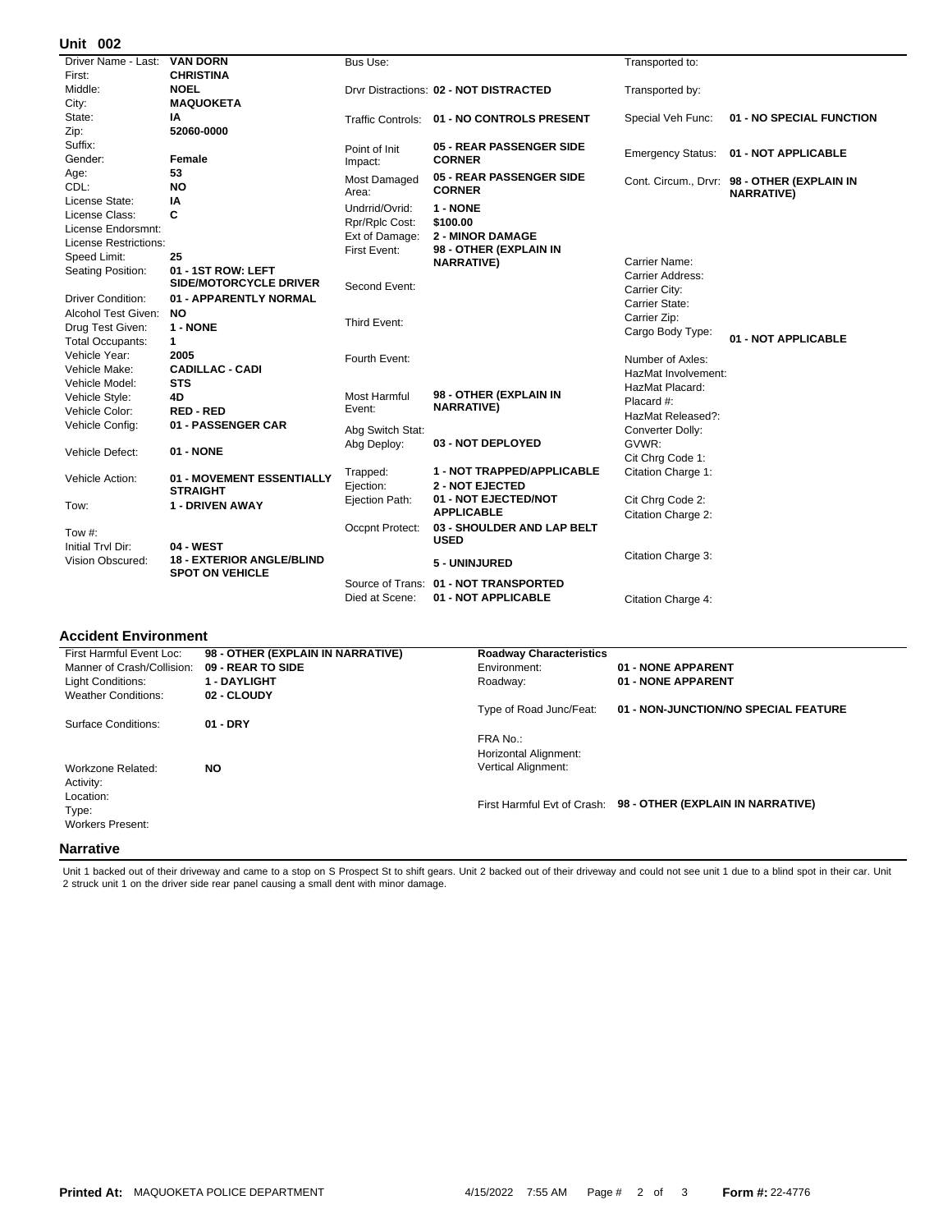## **002 Unit**

| UIIIL VV <del>L</del>        |                                  |                     |                                            |                     |                                                                  |
|------------------------------|----------------------------------|---------------------|--------------------------------------------|---------------------|------------------------------------------------------------------|
| Driver Name - Last:          | <b>VAN DORN</b>                  | Bus Use:            |                                            | Transported to:     |                                                                  |
| First:                       | <b>CHRISTINA</b>                 |                     |                                            |                     |                                                                  |
| Middle:                      | <b>NOEL</b>                      |                     | Drvr Distractions: 02 - NOT DISTRACTED     | Transported by:     |                                                                  |
| City:                        | <b>MAQUOKETA</b>                 |                     |                                            |                     |                                                                  |
| State:                       | ΙA                               |                     | Traffic Controls: 01 - NO CONTROLS PRESENT | Special Veh Func:   | 01 - NO SPECIAL FUNCTION                                         |
| Zip:                         | 52060-0000                       |                     |                                            |                     |                                                                  |
| Suffix:                      |                                  | Point of Init       | <b>05 - REAR PASSENGER SIDE</b>            |                     | Emergency Status: 01 - NOT APPLICABLE                            |
| Gender:                      | Female                           | Impact:             | <b>CORNER</b>                              |                     |                                                                  |
| Age:                         | 53                               | <b>Most Damaged</b> | 05 - REAR PASSENGER SIDE                   |                     |                                                                  |
| CDL:                         | <b>NO</b>                        | Area:               | <b>CORNER</b>                              |                     | Cont. Circum., Drvr: 98 - OTHER (EXPLAIN IN<br><b>NARRATIVE)</b> |
| License State:               | ΙA                               | Undrrid/Ovrid:      | 1 - NONE                                   |                     |                                                                  |
| License Class:               | C                                | Rpr/Rplc Cost:      | \$100.00                                   |                     |                                                                  |
| License Endorsmnt:           |                                  | Ext of Damage:      | <b>2 - MINOR DAMAGE</b>                    |                     |                                                                  |
| <b>License Restrictions:</b> |                                  | First Event:        | 98 - OTHER (EXPLAIN IN                     |                     |                                                                  |
| Speed Limit:                 | 25                               |                     | <b>NARRATIVE)</b>                          | Carrier Name:       |                                                                  |
| Seating Position:            | 01 - 1ST ROW: LEFT               |                     |                                            | Carrier Address:    |                                                                  |
|                              | SIDE/MOTORCYCLE DRIVER           | Second Event:       |                                            | Carrier City:       |                                                                  |
| <b>Driver Condition:</b>     | 01 - APPARENTLY NORMAL           |                     |                                            | Carrier State:      |                                                                  |
| Alcohol Test Given:          | <b>NO</b>                        |                     |                                            | Carrier Zip:        |                                                                  |
| Drug Test Given:             | 1 - NONE                         | Third Event:        |                                            | Cargo Body Type:    |                                                                  |
| <b>Total Occupants:</b>      | 1                                |                     |                                            |                     | 01 - NOT APPLICABLE                                              |
| Vehicle Year:                | 2005                             | Fourth Event:       |                                            | Number of Axles:    |                                                                  |
| Vehicle Make:                | <b>CADILLAC - CADI</b>           |                     |                                            | HazMat Involvement: |                                                                  |
| Vehicle Model:               | <b>STS</b>                       |                     |                                            | HazMat Placard:     |                                                                  |
| Vehicle Style:               | 4D                               | <b>Most Harmful</b> | 98 - OTHER (EXPLAIN IN                     | Placard #:          |                                                                  |
| Vehicle Color:               | <b>RED-RED</b>                   | Event:              | <b>NARRATIVE)</b>                          | HazMat Released?:   |                                                                  |
| Vehicle Config:              | 01 - PASSENGER CAR               | Abg Switch Stat:    |                                            | Converter Dolly:    |                                                                  |
|                              |                                  | Abg Deploy:         | 03 - NOT DEPLOYED                          | GVWR:               |                                                                  |
| Vehicle Defect:              | 01 - NONE                        |                     |                                            | Cit Chrg Code 1:    |                                                                  |
|                              |                                  | Trapped:            | 1 - NOT TRAPPED/APPLICABLE                 | Citation Charge 1:  |                                                                  |
| Vehicle Action:              | 01 - MOVEMENT ESSENTIALLY        | Ejection:           | <b>2 - NOT EJECTED</b>                     |                     |                                                                  |
|                              | <b>STRAIGHT</b>                  | Ejection Path:      | 01 - NOT EJECTED/NOT                       | Cit Chrg Code 2:    |                                                                  |
| Tow:                         | 1 - DRIVEN AWAY                  |                     | <b>APPLICABLE</b>                          | Citation Charge 2:  |                                                                  |
|                              |                                  | Occpnt Protect:     | 03 - SHOULDER AND LAP BELT                 |                     |                                                                  |
| Tow #:                       |                                  |                     | <b>USED</b>                                |                     |                                                                  |
| Initial Trvl Dir:            | 04 - WEST                        |                     |                                            | Citation Charge 3:  |                                                                  |
| Vision Obscured:             | <b>18 - EXTERIOR ANGLE/BLIND</b> |                     | 5 - UNINJURED                              |                     |                                                                  |
|                              | <b>SPOT ON VEHICLE</b>           |                     | Source of Trans: 01 - NOT TRANSPORTED      |                     |                                                                  |
|                              |                                  | Died at Scene:      | 01 - NOT APPLICABLE                        | Citation Charge 4:  |                                                                  |
|                              |                                  |                     |                                            |                     |                                                                  |

## **Accident Environment**

| First Harmful Event Loc:   | 98 - OTHER (EXPLAIN IN NARRATIVE) | <b>Roadway Characteristics</b> |                                      |
|----------------------------|-----------------------------------|--------------------------------|--------------------------------------|
| Manner of Crash/Collision: | 09 - REAR TO SIDE                 | Environment:                   | 01 - NONE APPARENT                   |
| Light Conditions:          | <b>1 - DAYLIGHT</b>               | Roadway:                       | 01 - NONE APPARENT                   |
| <b>Weather Conditions:</b> | 02 - CLOUDY                       |                                |                                      |
|                            |                                   | Type of Road Junc/Feat:        | 01 - NON-JUNCTION/NO SPECIAL FEATURE |
| Surface Conditions:        | $01 - DRY$                        |                                |                                      |
|                            |                                   | FRA No.:                       |                                      |
|                            |                                   | Horizontal Alignment:          |                                      |
| Workzone Related:          | <b>NO</b>                         | <b>Vertical Alignment:</b>     |                                      |
| Activity:                  |                                   |                                |                                      |
| Location:                  |                                   |                                |                                      |
| Type:                      |                                   | First Harmful Evt of Crash:    | 98 - OTHER (EXPLAIN IN NARRATIVE)    |
| <b>Workers Present:</b>    |                                   |                                |                                      |
|                            |                                   |                                |                                      |
| <b>Narrative</b>           |                                   |                                |                                      |

Unit 1 backed out of their driveway and came to a stop on S Prospect St to shift gears. Unit 2 backed out of their driveway and could not see unit 1 due to a blind spot in their car. Unit<br>2 struck unit 1 on the driver side